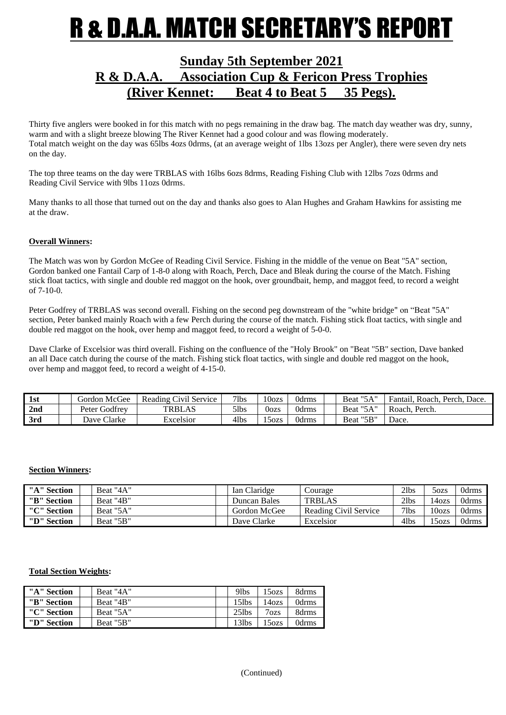## R & D.A.A. MATCH SECRETARY'S REPORT

### **Sunday 5th September 2021 R & D.A.A. Association Cup & Fericon Press Trophies (River Kennet: Beat 4 to Beat 5 35 Pegs).**

Thirty five anglers were booked in for this match with no pegs remaining in the draw bag. The match day weather was dry, sunny, warm and with a slight breeze blowing The River Kennet had a good colour and was flowing moderately. Total match weight on the day was 65lbs 4ozs 0drms, (at an average weight of 1lbs 13ozs per Angler), there were seven dry nets on the day.

The top three teams on the day were TRBLAS with 16lbs 6ozs 8drms, Reading Fishing Club with 12lbs 7ozs 0drms and Reading Civil Service with 9lbs 11ozs 0drms.

Many thanks to all those that turned out on the day and thanks also goes to Alan Hughes and Graham Hawkins for assisting me at the draw.

#### **Overall Winners:**

The Match was won by Gordon McGee of Reading Civil Service. Fishing in the middle of the venue on Beat "5A" section, Gordon banked one Fantail Carp of 1-8-0 along with Roach, Perch, Dace and Bleak during the course of the Match. Fishing stick float tactics, with single and double red maggot on the hook, over groundbait, hemp, and maggot feed, to record a weight of 7-10-0.

Peter Godfrey of TRBLAS was second overall. Fishing on the second peg downstream of the "white bridge" on "Beat "5A" section, Peter banked mainly Roach with a few Perch during the course of the match. Fishing stick float tactics, with single and double red maggot on the hook, over hemp and maggot feed, to record a weight of 5-0-0.

Dave Clarke of Excelsior was third overall. Fishing on the confluence of the "Holy Brook" on "Beat "5B" section, Dave banked an all Dace catch during the course of the match. Fishing stick float tactics, with single and double red maggot on the hook, over hemp and maggot feed, to record a weight of 4-15-0.

| 1st | Gordon McGee  | Reading Civil Service | $7$ lbs | $10\text{ozs}$ | Odrms        | Beat "5A" | Fantail.<br>. Roach. Perch. Dace. |
|-----|---------------|-----------------------|---------|----------------|--------------|-----------|-----------------------------------|
| 2nd | Peter Godfrey | <b>TRBLAS</b>         | 51bs    | 0ozs           | <b>Odrms</b> | Beat "5A" | Roach, Perch.                     |
| 3rd | Dave Clarke   | Excelsior             | 4lbs    | 150Zs          | Odrms        | Beat "5B" | Dace.                             |

#### **Section Winners:**

| "A" Section | Beat "4A" | Ian Claridge | Courage               | 2lbs    | 50zs              | Odrms        |
|-------------|-----------|--------------|-----------------------|---------|-------------------|--------------|
| "B" Section | Beat "4B" | Duncan Bales | <b>TRBLAS</b>         | 2lbs    | 14ozs             | <b>Odrms</b> |
| "C" Section | Beat "5A" | Gordon McGee | Reading Civil Service | $7$ lbs | 10 <sub>ozs</sub> | <b>Odrms</b> |
| "D" Section | Beat "5B" | Dave Clarke  | Excelsior             | 4lbs    | 150zs             | Odrms        |

#### **Total Section Weights:**

| "A" Section | Beat "4A" | 9 <sub>lbs</sub> | 15 <sub>ozs</sub> | 8drms |
|-------------|-----------|------------------|-------------------|-------|
| "B" Section | Beat "4B" | 15lbs            | 14ozs             | 0drms |
| "C" Section | Beat "5A" | $25$ lbs         | $7_{OZS}$         | 8drms |
| "D" Section | Beat "5B" | 13lbs            | 15 <sub>ozs</sub> | 0drms |